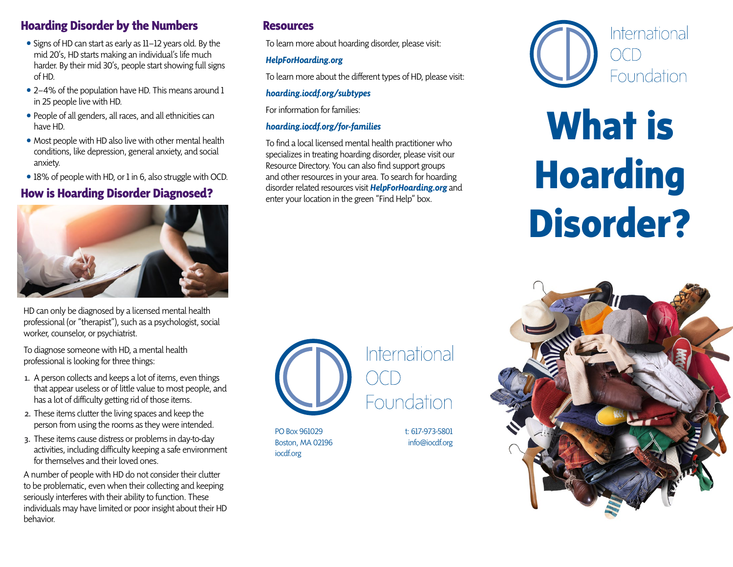## **Hoarding Disorder by the Numbers**

- Signs of HD can start as early as 11–12 years old. By the mid 20's, HD starts making an individual's life much harder. By their mid 30's, people start showing full signs of HD.
- 2–4% of the population have HD. This means around 1 in 25 people live with HD.
- People of all genders, all races, and all ethnicities can have HD.
- Most people with HD also live with other mental health conditions, like depression, general anxiety, and social anxiety.
- 18% of people with HD, or 1 in 6, also struggle with OCD.

## **How is Hoarding Disorder Diagnosed?**



HD can only be diagnosed by a licensed mental health professional (or "therapist"), such as a psychologist, social worker, counselor, or psychiatrist.

To diagnose someone with HD, a mental health professional is looking for three things:

- 1. A person collects and keeps a lot of items, even things that appear useless or of little value to most people, and has a lot of difficulty getting rid of those items.
- 2. These items clutter the living spaces and keep the person from using the rooms as they were intended.
- 3. These items cause distress or problems in day-to-day activities, including difficulty keeping a safe environment for themselves and their loved ones.

A number of people with HD do not consider their clutter to be problematic, even when their collecting and keeping seriously interferes with their ability to function. These individuals may have limited or poor insight about their HD behavior.

### **Resources**

To learn more about hoarding disorder, please visit:

#### *HelpForHoarding.org*

To learn more about the different types of HD, please visit:

### *hoarding.iocdf.org/subtypes*

For information for families:

### *hoarding.iocdf.org/for-families*

To find a local licensed mental health practitioner who specializes in treating hoarding disorder, please visit our Resource Directory. You can also find support groups and other resources in your area. To search for hoarding disorder related resources visit *HelpForHoarding.org* and enter your location in the green "Find Help" box.



PO Box 961029 Boston, MA 02196 iocdf.org

t: 617-973-5801 info@iocdf.org



# **What is Hoarding Disorder?**